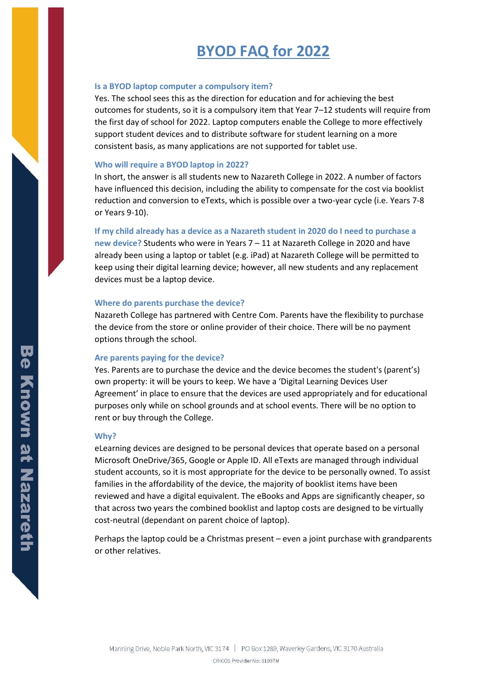# **BYOD FAQ for 2022**

# **Is a BYOD laptop computer a compulsory item?**

Yes. The school sees this as the direction for education and for achieving the best outcomes for students, so it is a compulsory item that Year 7–12 students will require from the first day of school for 2022. Laptop computers enable the College to more effectively support student devices and to distribute software for student learning on a more consistent basis, as many applications are not supported for tablet use.

#### **Who will require a BYOD laptop in 2022?**

In short, the answer is all students new to Nazareth College in 2022. A number of factors have influenced this decision, including the ability to compensate for the cost via booklist reduction and conversion to eTexts, which is possible over a two-year cycle (i.e. Years 7-8 or Years 9-10).

#### **If my child already has a device as a Nazareth student in 2020 do I need to purchase a**

**new device?** Students who were in Years 7 – 11 at Nazareth College in 2020 and have already been using a laptop or tablet (e.g. iPad) at Nazareth College will be permitted to keep using their digital learning device; however, all new students and any replacement devices must be a laptop device.

### **Where do parents purchase the device?**

Nazareth College has partnered with Centre Com. Parents have the flexibility to purchase the device from the store or online provider of their choice. There will be no payment options through the school.

# **Are parents paying for the device?**

Yes. Parents are to purchase the device and the device becomes the student's (parent's) own property: it will be yours to keep. We have a 'Digital Learning Devices User Agreement' in place to ensure that the devices are used appropriately and for educational purposes only while on school grounds and at school events. There will be no option to rent or buy through the College.

#### **Why?**

eLearning devices are designed to be personal devices that operate based on a personal Microsoft OneDrive/365, Google or Apple ID. All eTexts are managed through individual student accounts, so it is most appropriate for the device to be personally owned. To assist families in the affordability of the device, the majority of booklist items have been reviewed and have a digital equivalent. The eBooks and Apps are significantly cheaper, so that across two years the combined booklist and laptop costs are designed to be virtually cost-neutral (dependant on parent choice of laptop).

Perhaps the laptop could be a Christmas present – even a joint purchase with grandparents or other relatives.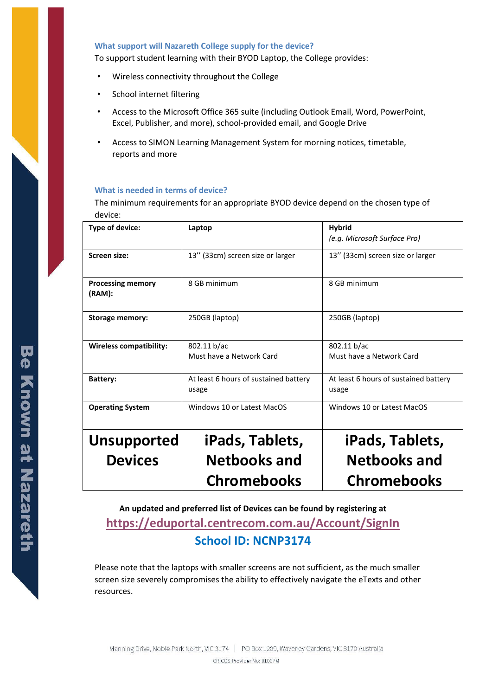# **What support will Nazareth College supply for the device?**

To support student learning with their BYOD Laptop, the College provides:

- Wireless connectivity throughout the College
- School internet filtering
- Access to the Microsoft Office 365 suite (including Outlook Email, Word, PowerPoint, Excel, Publisher, and more), school-provided email, and Google Drive
- Access to SIMON Learning Management System for morning notices, timetable, reports and more

#### **What is needed in terms of device?**

The minimum requirements for an appropriate BYOD device depend on the chosen type of device:

| Type of device:                    | Laptop                                | <b>Hybrid</b>                         |
|------------------------------------|---------------------------------------|---------------------------------------|
|                                    |                                       | (e.g. Microsoft Surface Pro)          |
| Screen size:                       | 13" (33cm) screen size or larger      | 13" (33cm) screen size or larger      |
| <b>Processing memory</b><br>(RAM): | 8 GB minimum                          | 8 GB minimum                          |
| <b>Storage memory:</b>             | 250GB (laptop)                        | 250GB (laptop)                        |
| <b>Wireless compatibility:</b>     | 802.11 b/ac                           | 802.11 b/ac                           |
|                                    | Must have a Network Card              | Must have a Network Card              |
| <b>Battery:</b>                    | At least 6 hours of sustained battery | At least 6 hours of sustained battery |
|                                    | usage                                 | usage                                 |
| <b>Operating System</b>            | Windows 10 or Latest MacOS            | Windows 10 or Latest MacOS            |
| <b>Unsupported</b>                 | iPads, Tablets,                       | iPads, Tablets,                       |
| <b>Devices</b>                     | <b>Netbooks and</b>                   | <b>Netbooks and</b>                   |
|                                    | <b>Chromebooks</b>                    | <b>Chromebooks</b>                    |
|                                    |                                       |                                       |

# **An updated and preferred list of Devices can be found by registering at <https://eduportal.centrecom.com.au/Account/SignIn> School ID: NCNP3174**

Please note that the laptops with smaller screens are not sufficient, as the much smaller screen size severely compromises the ability to effectively navigate the eTexts and other resources.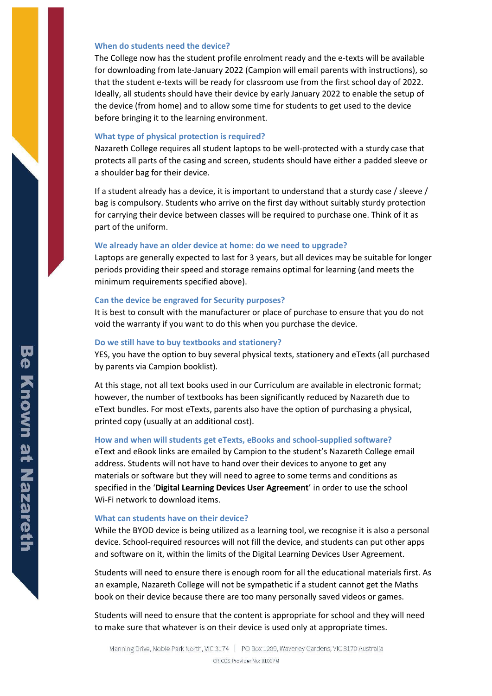#### **When do students need the device?**

The College now has the student profile enrolment ready and the e-texts will be available for downloading from late-January 2022 (Campion will email parents with instructions), so that the student e-texts will be ready for classroom use from the first school day of 2022. Ideally, all students should have their device by early January 2022 to enable the setup of the device (from home) and to allow some time for students to get used to the device before bringing it to the learning environment.

# **What type of physical protection is required?**

Nazareth College requires all student laptops to be well-protected with a sturdy case that protects all parts of the casing and screen, students should have either a padded sleeve or a shoulder bag for their device.

If a student already has a device, it is important to understand that a sturdy case / sleeve / bag is compulsory. Students who arrive on the first day without suitably sturdy protection for carrying their device between classes will be required to purchase one. Think of it as part of the uniform.

#### **We already have an older device at home: do we need to upgrade?**

Laptops are generally expected to last for 3 years, but all devices may be suitable for longer periods providing their speed and storage remains optimal for learning (and meets the minimum requirements specified above).

## **Can the device be engraved for Security purposes?**

It is best to consult with the manufacturer or place of purchase to ensure that you do not void the warranty if you want to do this when you purchase the device.

#### **Do we still have to buy textbooks and stationery?**

YES, you have the option to buy several physical texts, stationery and eTexts (all purchased by parents via Campion booklist).

At this stage, not all text books used in our Curriculum are available in electronic format; however, the number of textbooks has been significantly reduced by Nazareth due to eText bundles. For most eTexts, parents also have the option of purchasing a physical, printed copy (usually at an additional cost).

# **How and when will students get eTexts, eBooks and school-supplied software?**

eText and eBook links are emailed by Campion to the student's Nazareth College email address. Students will not have to hand over their devices to anyone to get any materials or software but they will need to agree to some terms and conditions as specified in the '**Digital Learning Devices User Agreement**' in order to use the school Wi-Fi network to download items.

#### **What can students have on their device?**

While the BYOD device is being utilized as a learning tool, we recognise it is also a personal device. School-required resources will not fill the device, and students can put other apps and software on it, within the limits of the Digital Learning Devices User Agreement.

Students will need to ensure there is enough room for all the educational materials first. As an example, Nazareth College will not be sympathetic if a student cannot get the Maths book on their device because there are too many personally saved videos or games.

Students will need to ensure that the content is appropriate for school and they will need to make sure that whatever is on their device is used only at appropriate times.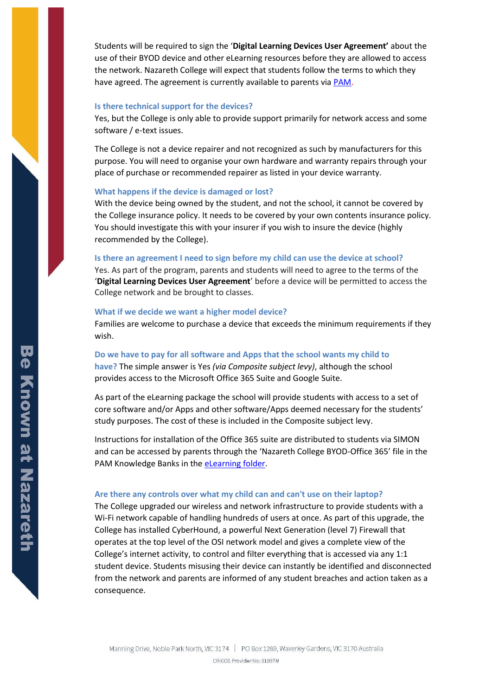Students will be required to sign the '**Digital Learning Devices User Agreement'** about the use of their BYOD device and other eLearning resources before they are allowed to access the network. Nazareth College will expect that students follow the terms to which they have agreed. The agreement is currently available to parents vi[a PAM.](http://pam.nazareth.vic.edu.au/)

#### **Is there technical support for the devices?**

Yes, but the College is only able to provide support primarily for network access and some software / e-text issues.

The College is not a device repairer and not recognized as such by manufacturers for this purpose. You will need to organise your own hardware and warranty repairs through your place of purchase or recommended repairer as listed in your device warranty.

#### **What happens if the device is damaged or lost?**

With the device being owned by the student, and not the school, it cannot be covered by the College insurance policy. It needs to be covered by your own contents insurance policy. You should investigate this with your insurer if you wish to insure the device (highly recommended by the College).

# **Is there an agreement I need to sign before my child can use the device at school?**

Yes. As part of the program, parents and students will need to agree to the terms of the '**Digital Learning Devices User Agreement**' before a device will be permitted to access the College network and be brought to classes.

#### **What if we decide we want a higher model device?**

Families are welcome to purchase a device that exceeds the minimum requirements if they wish.

# **Do we have to pay for all software and Apps that the school wants my child to**

**have?** The simple answer is Yes *(via Composite subject levy)*, although the school provides access to the Microsoft Office 365 Suite and Google Suite.

As part of the eLearning package the school will provide students with access to a set of core software and/or Apps and other software/Apps deemed necessary for the students' study purposes. The cost of these is included in the Composite subject levy.

Instructions for installation of the Office 365 suite are distributed to students via SIMON and can be accessed by parents through the 'Nazareth College BYOD-Office 365' file in the PAM Knowledge Banks in th[e eLearning folder.](https://pam.nazareth.vic.edu.au/WebModules/KnowledgeBanks/Default.aspx?id=5)

#### **Are there any controls over what my child can and can't use on their laptop?**

The College upgraded our wireless and network infrastructure to provide students with a Wi-Fi network capable of handling hundreds of users at once. As part of this upgrade, the College has installed CyberHound, a powerful Next Generation (level 7) Firewall that operates at the top level of the OSI network model and gives a complete view of the College's internet activity, to control and filter everything that is accessed via any 1:1 student device. Students misusing their device can instantly be identified and disconnected from the network and parents are informed of any student breaches and action taken as a consequence.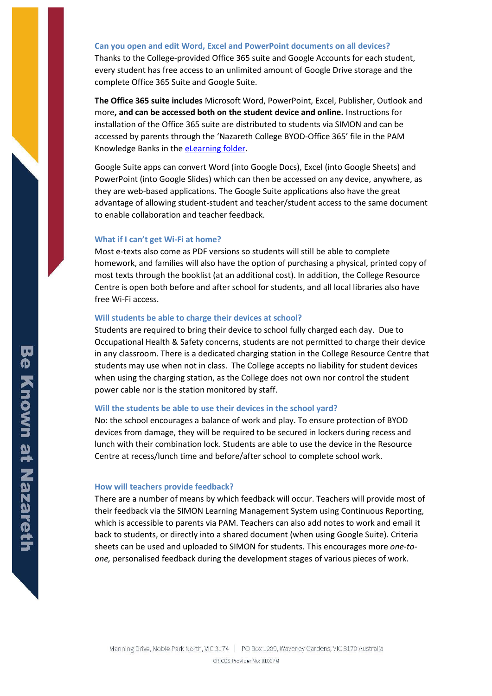#### **Can you open and edit Word, Excel and PowerPoint documents on all devices?**

Thanks to the College-provided Office 365 suite and Google Accounts for each student, every student has free access to an unlimited amount of Google Drive storage and the complete Office 365 Suite and Google Suite.

**The Office 365 suite includes** Microsoft Word, PowerPoint, Excel, Publisher, Outlook and more**, and can be accessed both on the student device and online.** Instructions for installation of the Office 365 suite are distributed to students via SIMON and can be accessed by parents through the 'Nazareth College BYOD-Office 365' file in the PAM Knowledge Banks in th[e eLearning folder.](https://pam.nazareth.vic.edu.au/WebModules/KnowledgeBanks/Default.aspx?id=5)

Google Suite apps can convert Word (into Google Docs), Excel (into Google Sheets) and PowerPoint (into Google Slides) which can then be accessed on any device, anywhere, as they are web-based applications. The Google Suite applications also have the great advantage of allowing student-student and teacher/student access to the same document to enable collaboration and teacher feedback.

# **What if I can't get Wi-Fi at home?**

Most e-texts also come as PDF versions so students will still be able to complete homework, and families will also have the option of purchasing a physical, printed copy of most texts through the booklist (at an additional cost). In addition, the College Resource Centre is open both before and after school for students, and all local libraries also have free Wi-Fi access.

# **Will students be able to charge their devices at school?**

Students are required to bring their device to school fully charged each day. Due to Occupational Health & Safety concerns, students are not permitted to charge their device in any classroom. There is a dedicated charging station in the College Resource Centre that students may use when not in class. The College accepts no liability for student devices when using the charging station, as the College does not own nor control the student power cable nor is the station monitored by staff.

#### **Will the students be able to use their devices in the school yard?**

No: the school encourages a balance of work and play. To ensure protection of BYOD devices from damage, they will be required to be secured in lockers during recess and lunch with their combination lock. Students are able to use the device in the Resource Centre at recess/lunch time and before/after school to complete school work.

#### **How will teachers provide feedback?**

There are a number of means by which feedback will occur. Teachers will provide most of their feedback via the SIMON Learning Management System using Continuous Reporting, which is accessible to parents via PAM. Teachers can also add notes to work and email it back to students, or directly into a shared document (when using Google Suite). Criteria sheets can be used and uploaded to SIMON for students. This encourages more *one-toone,* personalised feedback during the development stages of various pieces of work.